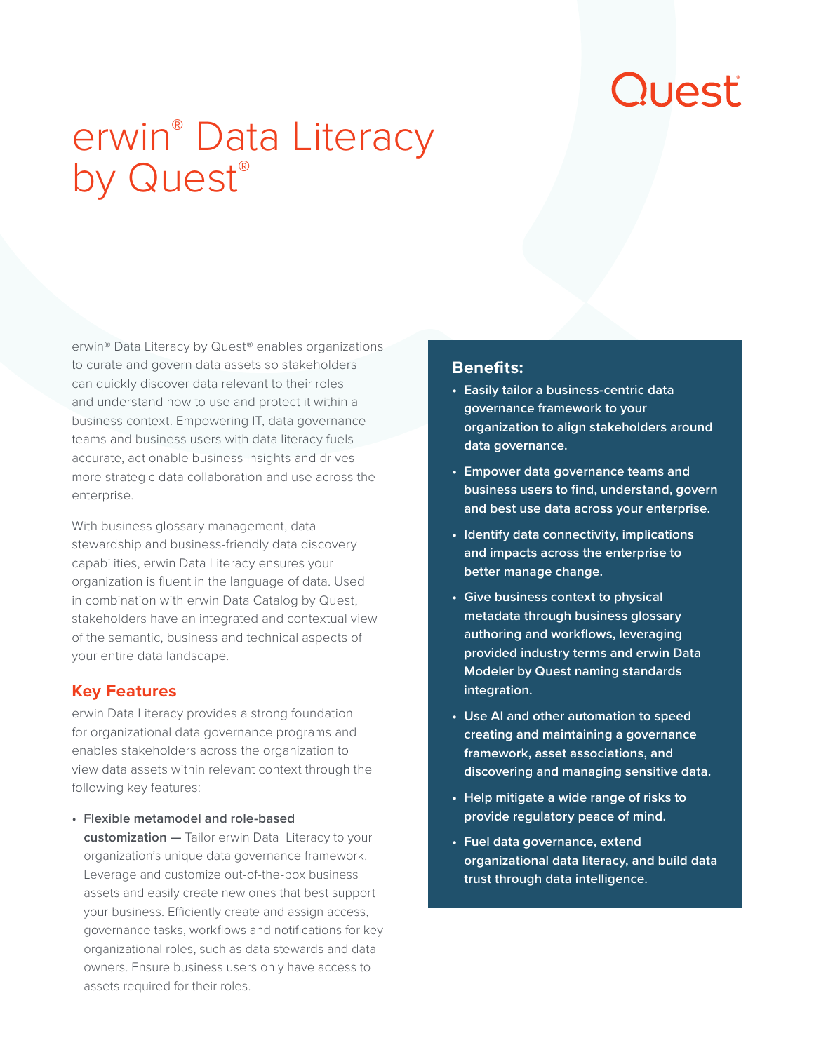# Quest

## erwin® Data Literacy by Quest®

erwin® Data Literacy by Quest® enables organizations to curate and govern data assets so stakeholders can quickly discover data relevant to their roles and understand how to use and protect it within a business context. Empowering IT, data governance teams and business users with data literacy fuels accurate, actionable business insights and drives more strategic data collaboration and use across the enterprise.

With business glossary management, data stewardship and business-friendly data discovery capabilities, erwin Data Literacy ensures your organization is fluent in the language of data. Used in combination with erwin Data Catalog by Quest, stakeholders have an integrated and contextual view of the semantic, business and technical aspects of your entire data landscape.

#### **Key Features**

erwin Data Literacy provides a strong foundation for organizational data governance programs and enables stakeholders across the organization to view data assets within relevant context through the following key features:

• **Flexible metamodel and role-based customization —** Tailor erwin Data Literacy to your organization's unique data governance framework. Leverage and customize out-of-the-box business assets and easily create new ones that best support your business. Efficiently create and assign access, governance tasks, workflows and notifications for key organizational roles, such as data stewards and data owners. Ensure business users only have access to assets required for their roles.

#### **Benefits:**

- **• Easily tailor a business-centric data governance framework to your organization to align stakeholders around data governance.**
- **• Empower data governance teams and business users to find, understand, govern and best use data across your enterprise.**
- **• Identify data connectivity, implications and impacts across the enterprise to better manage change.**
- **• Give business context to physical metadata through business glossary authoring and workflows, leveraging provided industry terms and erwin Data Modeler by Quest naming standards integration.**
- **• Use AI and other automation to speed creating and maintaining a governance framework, asset associations, and discovering and managing sensitive data.**
- **• Help mitigate a wide range of risks to provide regulatory peace of mind.**
- **• Fuel data governance, extend organizational data literacy, and build data trust through data intelligence.**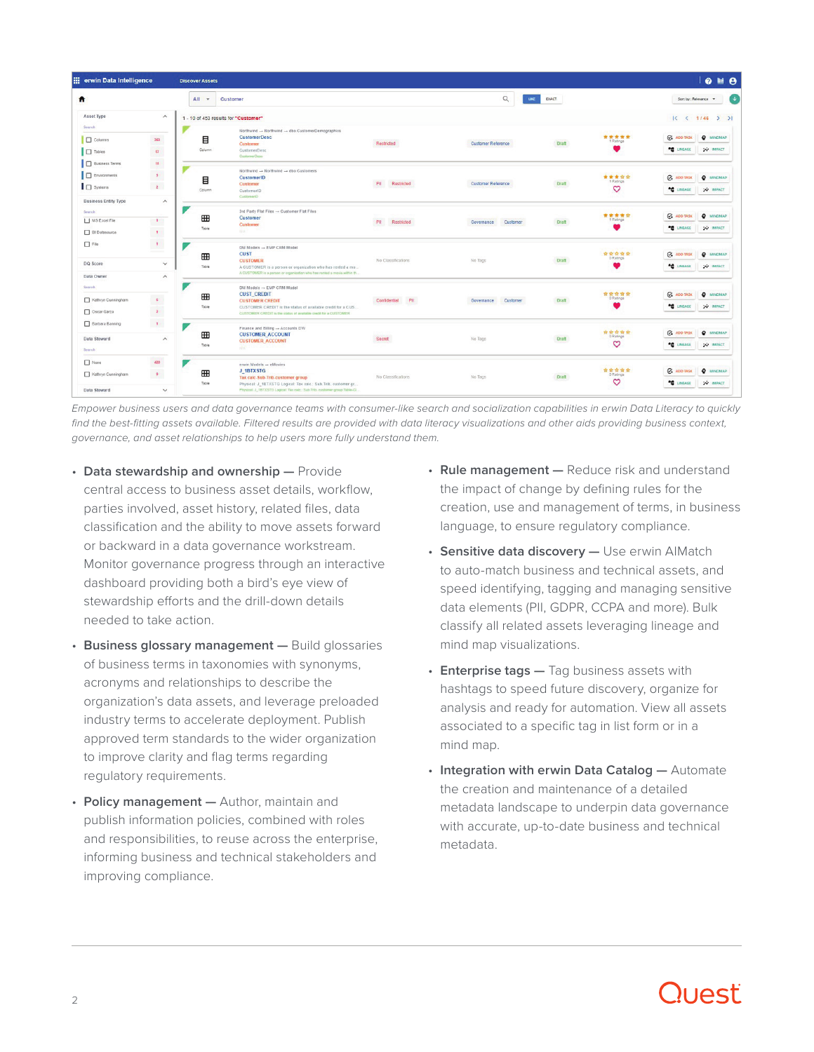| ::: erwin Data Intelligence    |                                      | <b>Discover Assets</b>               |                                                                                                                                            |                     |                           |              |                         |                                | $9 \nparallel 0$ |
|--------------------------------|--------------------------------------|--------------------------------------|--------------------------------------------------------------------------------------------------------------------------------------------|---------------------|---------------------------|--------------|-------------------------|--------------------------------|------------------|
| Ħ                              |                                      | $All -$                              | Customer                                                                                                                                   |                     | $\alpha$<br>LIKE          | <b>EXACT</b> |                         | Sort by : Relevance            |                  |
| Asset Type                     | $\widehat{\phantom{a}}$              | 1 - 10 of 453 results for "Customer" |                                                                                                                                            |                     |                           |              |                         | 1< 1/46                        | > 1              |
| Search                         |                                      |                                      | Northwind -+ Northwind -+ dbo CustomerDemographics                                                                                         |                     |                           |              |                         |                                |                  |
| Columns                        | 363                                  | 目                                    | <b>CustomerDesc</b>                                                                                                                        | Restricted          | <b>Customer Reference</b> | Draft        | *****<br>1 Ratings      | $Q_4$ add task                 | <b>O</b> MINDMAP |
| <b>D</b> Tables                | 63<br><b>STAR</b>                    | Column                               | Customer<br>CustomerDesc<br>CustomerOeso                                                                                                   |                     |                           |              |                         | <b>TO LINEAGE</b>              | <b>W IMPACT</b>  |
| <b>Business Terms</b>          | $\mathbf{u}$                         |                                      |                                                                                                                                            |                     |                           |              |                         |                                |                  |
| $\Box$ Environments            | $\mathbf{r}$                         |                                      | Northwind - Northwind - dbo Customers<br>CustomerID                                                                                        |                     | <b>Customer Reference</b> | Draft        | *****                   | <b>Q</b> ADD TASK              | <b>O</b> MINDMAP |
| $\Box$ Systems                 | $\mathbf{z}$                         | 目<br>Column                          | Customer<br>CustomerID                                                                                                                     | Restricted<br>PII   |                           |              | 1 Ratings<br>♡          | <b>TO UNEAGE</b>               | <b>W IMPACT</b>  |
| <b>Business Entity Type</b>    | $\widehat{\phantom{a}}$              |                                      | CustomerliD                                                                                                                                |                     |                           |              |                         |                                |                  |
| Search                         |                                      | ⊞                                    | 3rd Party Flat Files - Customer Flat Files<br>Customer                                                                                     |                     | Customer<br>Governance    | Draft        | *****<br>1 Ratings      | <b>C</b> <sup>4</sup> ADD TASK | <b>O</b> MINDMAP |
| MS Excel File<br>BI Datasource | $\mathcal{A}$<br>$\langle t \rangle$ | Table                                | Customer<br>North                                                                                                                          | PII<br>Restricted   |                           |              |                         | <b>TE LINEAGE</b>              | <b>W IMPACT</b>  |
|                                |                                      |                                      |                                                                                                                                            |                     |                           |              |                         |                                |                  |
| $\Box$ File                    | $\langle 1 \rangle$                  | ⊞                                    | DM Models - EMP CRM Model<br><b>CUST</b>                                                                                                   |                     |                           | Draft        | *****                   | <b>C</b> <sup>4</sup> ADD TASK | <b>Q</b> MINDMAP |
| DQ Score                       | $\checkmark$                         | Table                                | <b>CUSTOMER</b><br>A CUSTOMER is a person or organization who has rented a mo                                                              | No Classifications  | No Tags                   |              | 0 Ratings               | <b>TE LINEAGE</b>              | <b>W IMPACT</b>  |
| Data Owner                     | $\wedge$                             |                                      | A CUSTOMER is a person or organization who has rented a movie within th.                                                                   |                     |                           |              |                         |                                |                  |
| Search                         |                                      |                                      | $DM$ Models $\rightarrow$ EMP CRM Model<br><b>CUST_CREDIT</b>                                                                              |                     | Customer<br>Governance    | <b>Draft</b> | 音音音音<br>0 Ratings       | $C_4$ add task                 | <b>O</b> MINDMAP |
| Kathryn Cunningham             |                                      | ⊞                                    | <b>CUSTOMER CREDIT</b>                                                                                                                     | Confidential<br>PII |                           |              |                         |                                |                  |
| Oscar Garza                    | $\frac{6}{2}$                        | Table                                | CUSTOMER CREDIT is the status of available credit for a CUS<br>CUSTOMER CREDIT is the status of available credit for a CUSTOMER            |                     |                           |              |                         | <b>TE LINEAGE</b>              | <b>W IMPACT</b>  |
| Barbara Banning                | $\mathbf{r}$                         |                                      | Finance and Billing - Accounts DW                                                                                                          |                     |                           |              |                         |                                |                  |
| Data Steward                   | $\widehat{\phantom{a}}$              | ⊞                                    | <b>CUSTOMER ACCOUNT</b>                                                                                                                    | Secret              | No Tags                   | Draft        | *****<br>0 Ratings      | <b>Q</b> ADD TASK              | <b>Q</b> MINDMAP |
| Search                         |                                      | Table                                | <b>CUSTOMER_ACCOUNT</b><br>sbar -                                                                                                          |                     |                           |              | ♡                       | <b>TE LINEAGE</b>              | <b>W IMPACT</b>  |
| None                           | 420                                  |                                      | erwin Models - eMovies                                                                                                                     | No Classifications  | No Tags                   | <b>Draft</b> | *****<br>0 Ratings<br>♡ |                                |                  |
| Kathryn Cunningham             | $\mathbf{A}$                         | ⊞                                    | J_1BTXSTG<br>Tax calc-Sub-Trib-customer group                                                                                              |                     |                           |              |                         | <b>C</b> <sup>4</sup> ADD TASK | <b>O</b> MINDMAP |
| Data Steward                   | $\checkmark$                         | Table                                | Physical: J_1BTXSTG Logical: Tax calc.: Sub.Trib. customer gr<br>Physical: J_1BTXSTG Logical: Tax calc : Sub Trib. customer group Table-Cl |                     |                           |              |                         | <b>TO LINEAGE</b>              | <b>W IMPACT</b>  |

*Empower business users and data governance teams with consumer-like search and socialization capabilities in erwin Data Literacy to quickly*  find the best-fitting assets available. Filtered results are provided with data literacy visualizations and other aids providing business context, *governance, and asset relationships to help users more fully understand them.*

- **Data stewardship and ownership —** Provide central access to business asset details, workflow, parties involved, asset history, related files, data classification and the ability to move assets forward or backward in a data governance workstream. Monitor governance progress through an interactive dashboard providing both a bird's eye view of stewardship efforts and the drill-down details needed to take action.
- **Business glossary management —** Build glossaries of business terms in taxonomies with synonyms, acronyms and relationships to describe the organization's data assets, and leverage preloaded industry terms to accelerate deployment. Publish approved term standards to the wider organization to improve clarity and flag terms regarding regulatory requirements.
- **Policy management —** Author, maintain and publish information policies, combined with roles and responsibilities, to reuse across the enterprise, informing business and technical stakeholders and improving compliance.
- **Rule management —** Reduce risk and understand the impact of change by defining rules for the creation, use and management of terms, in business language, to ensure regulatory compliance.
- **Sensitive data discovery —** Use erwin AIMatch to auto-match business and technical assets, and speed identifying, tagging and managing sensitive data elements (PII, GDPR, CCPA and more). Bulk classify all related assets leveraging lineage and mind map visualizations.
- **Enterprise tags —** Tag business assets with hashtags to speed future discovery, organize for analysis and ready for automation. View all assets associated to a specific tag in list form or in a mind map.
- **Integration with erwin Data Catalog —** Automate the creation and maintenance of a detailed metadata landscape to underpin data governance with accurate, up-to-date business and technical metadata.

### Duesti